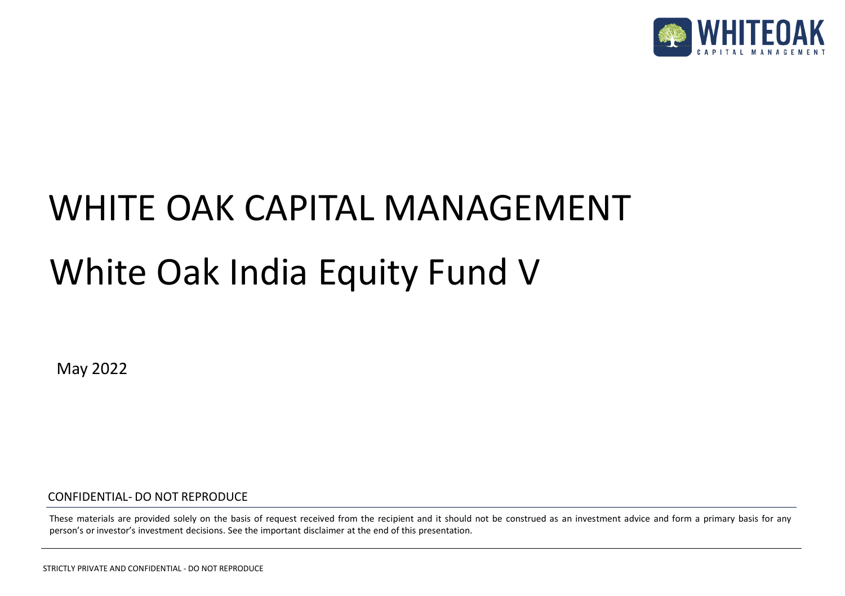

# White Oak India Equity Fund V WHITE OAK CAPITAL MANAGEMENT

May 2022

CONFIDENTIAL- DO NOT REPRODUCE

These materials are provided solely on the basis of request received from the recipient and it should not be construed as an investment advice and form a primary basis for any person's or investor's investment decisions. See the important disclaimer at the end of this presentation.

STRICTLY PRIVATE AND CONFIDENTIAL - DO NOT REPRODUCE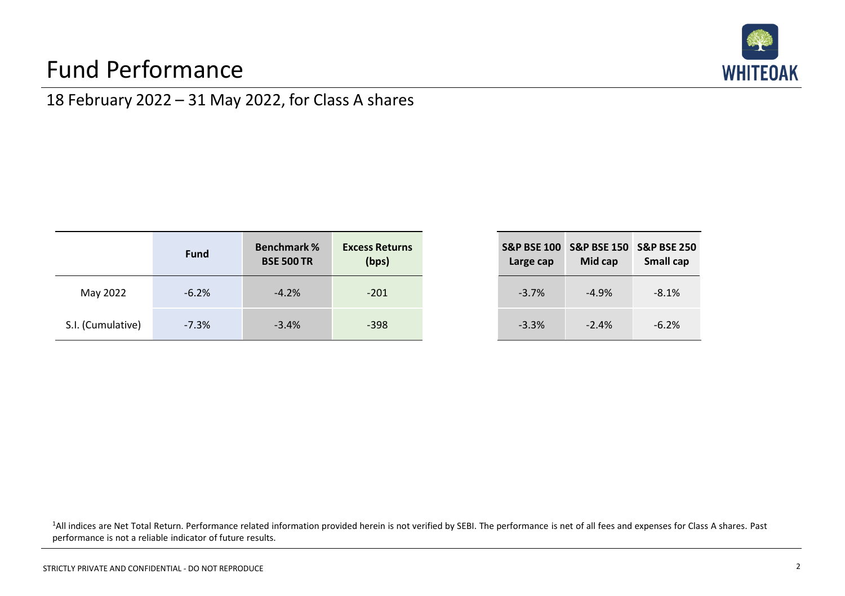## Fund Performance



**S&P BSE 150 S&P BSE 250**

-3.7% -4.9% -8.1%

-3.3% -2.4% -6.2%

**Small cap**

**Mid cap**

### 18 February 2022 – 31 May 2022, for Class A shares

|                   | <b>Fund</b> | <b>Benchmark %</b><br><b>BSE 500 TR</b> | <b>Excess Returns</b><br>(bps) | <b>S&amp;P BSE 100</b><br>Large cap |
|-------------------|-------------|-----------------------------------------|--------------------------------|-------------------------------------|
| May 2022          | $-6.2%$     | $-4.2%$                                 | $-201$                         | $-3.7%$                             |
| S.I. (Cumulative) | $-7.3%$     | $-3.4%$                                 | $-398$                         | $-3.3%$                             |

| <sup>1</sup> All indices are Net Total Return. Performance related information provided herein is not verified by SEBI. The performance is net of all fees and expenses for Class A shares. Past |  |
|--------------------------------------------------------------------------------------------------------------------------------------------------------------------------------------------------|--|
| performance is not a reliable indicator of future results.                                                                                                                                       |  |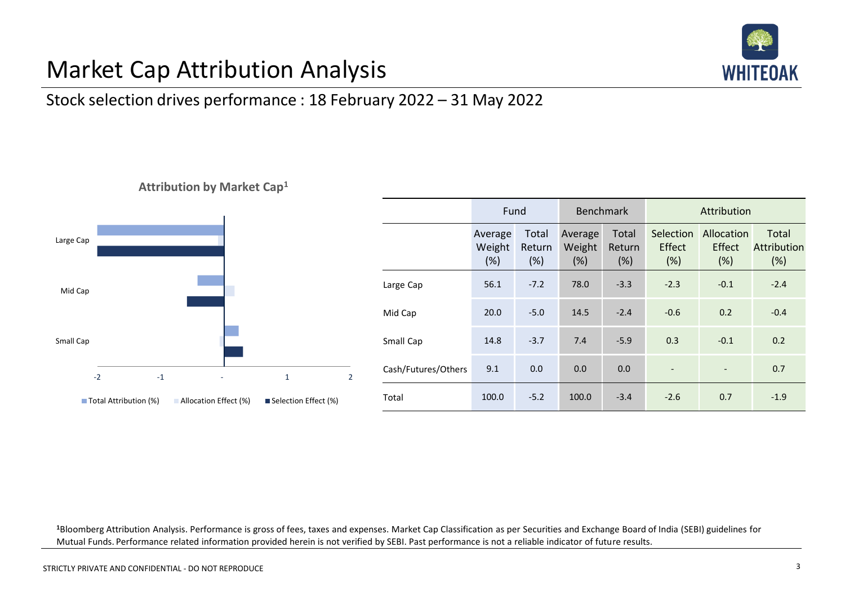# **WHITE**

# Market Cap Attribution Analysis

### Stock selection drives performance : 18 February 2022 – 31 May 2022

#### **Attribution by Market Cap<sup>1</sup>**



|                     | Fund                     |                        |                          | Benchmark              |                            | Attribution                  |                                           |  |
|---------------------|--------------------------|------------------------|--------------------------|------------------------|----------------------------|------------------------------|-------------------------------------------|--|
|                     | Average<br>Weight<br>(%) | Total<br>Return<br>(%) | Average<br>Weight<br>(%) | Total<br>Return<br>(%) | Selection<br>Effect<br>(%) | Allocation<br>Effect<br>(% ) | <b>Total</b><br><b>Attribution</b><br>(%) |  |
| Large Cap           | 56.1                     | $-7.2$                 | 78.0                     | $-3.3$                 | $-2.3$                     | $-0.1$                       | $-2.4$                                    |  |
| Mid Cap             | 20.0                     | $-5.0$                 | 14.5                     | $-2.4$                 | $-0.6$                     | 0.2                          | $-0.4$                                    |  |
| Small Cap           | 14.8                     | $-3.7$                 | 7.4                      | $-5.9$                 | 0.3                        | $-0.1$                       | 0.2                                       |  |
| Cash/Futures/Others | 9.1                      | 0.0                    | 0.0                      | 0.0                    | ÷,                         | $\overline{\phantom{a}}$     | 0.7                                       |  |
| Total               | 100.0                    | $-5.2$                 | 100.0                    | $-3.4$                 | $-2.6$                     | 0.7                          | $-1.9$                                    |  |

**<sup>1</sup>**Bloomberg Attribution Analysis. Performance is gross of fees, taxes and expenses. Market Cap Classification as per Securities and Exchange Board of India (SEBI) guidelines for Mutual Funds. Performance related information provided herein is not verified by SEBI. Past performance is not a reliable indicator of future results.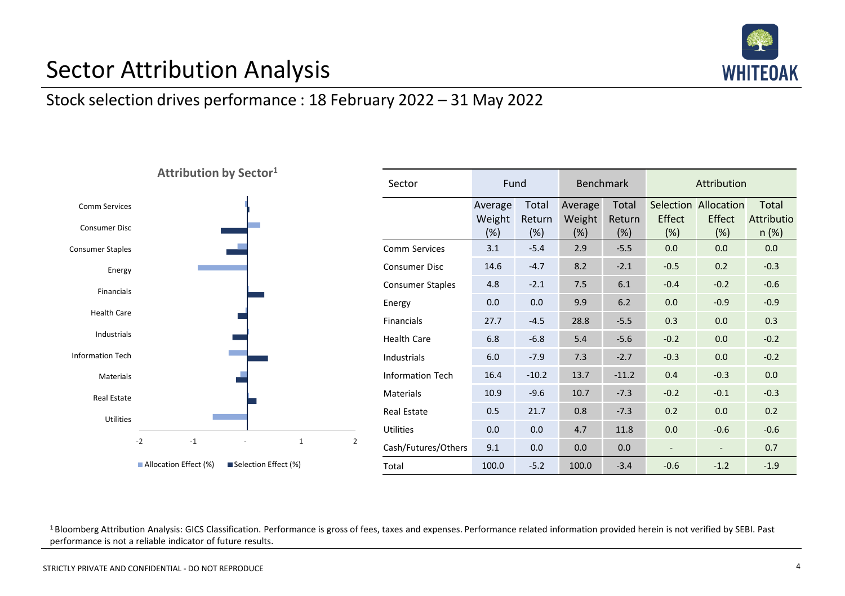

## Sector Attribution Analysis

#### Stock selection drives performance : 18 February 2022 – 31 May 2022



| Sector                  | Fund                     |                        | <b>Benchmark</b>            |                        | Attribution   |                                       |                              |
|-------------------------|--------------------------|------------------------|-----------------------------|------------------------|---------------|---------------------------------------|------------------------------|
|                         | Average<br>Weight<br>(%) | Total<br>Return<br>(%) | Average<br>Weight<br>$(\%)$ | Total<br>Return<br>(%) | Effect<br>(%) | Selection Allocation<br>Effect<br>(%) | Total<br>Attributio<br>n (%) |
| Comm Services           | 3.1                      | $-5.4$                 | 2.9                         | $-5.5$                 | 0.0           | 0.0                                   | 0.0                          |
| Consumer Disc           | 14.6                     | $-4.7$                 | 8.2                         | $-2.1$                 | $-0.5$        | 0.2                                   | $-0.3$                       |
| <b>Consumer Staples</b> | 4.8                      | $-2.1$                 | 7.5                         | 6.1                    | $-0.4$        | $-0.2$                                | $-0.6$                       |
| Energy                  | 0.0                      | 0.0                    | 9.9                         | 6.2                    | 0.0           | $-0.9$                                | $-0.9$                       |
| Financials              | 27.7                     | $-4.5$                 | 28.8                        | $-5.5$                 | 0.3           | 0.0                                   | 0.3                          |
| Health Care             | 6.8                      | $-6.8$                 | 5.4                         | $-5.6$                 | $-0.2$        | 0.0                                   | $-0.2$                       |
| Industrials             | 6.0                      | $-7.9$                 | 7.3                         | $-2.7$                 | $-0.3$        | 0.0                                   | $-0.2$                       |
| <b>Information Tech</b> | 16.4                     | $-10.2$                | 13.7                        | $-11.2$                | 0.4           | $-0.3$                                | 0.0                          |
| Materials               | 10.9                     | $-9.6$                 | 10.7                        | $-7.3$                 | $-0.2$        | $-0.1$                                | $-0.3$                       |
| Real Estate             | 0.5                      | 21.7                   | 0.8                         | $-7.3$                 | 0.2           | 0.0                                   | 0.2                          |
| Utilities               | 0.0                      | 0.0                    | 4.7                         | 11.8                   | 0.0           | $-0.6$                                | $-0.6$                       |
| Cash/Futures/Others     | 9.1                      | 0.0                    | 0.0                         | 0.0                    |               |                                       | 0.7                          |
| Total                   | 100.0                    | $-5.2$                 | 100.0                       | $-3.4$                 | $-0.6$        | $-1.2$                                | $-1.9$                       |

<sup>1</sup> Bloomberg Attribution Analysis: GICS Classification. Performance is gross of fees, taxes and expenses. Performance related information provided herein is not verified by SEBI. Past performance is not a reliable indicator of future results.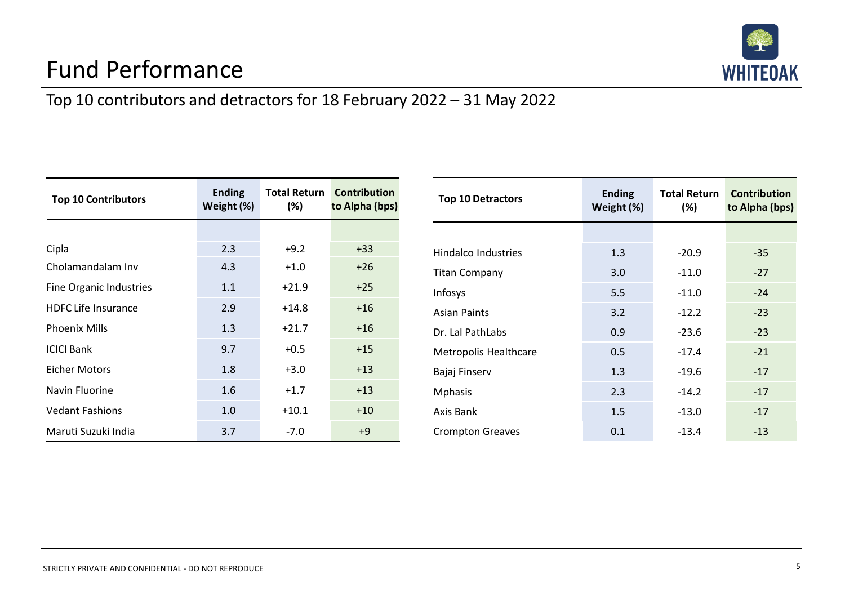

# Fund Performance

## Top 10 contributors and detractors for 18 February 2022 – 31 May 2022

| <b>Top 10 Contributors</b> | <b>Ending</b><br>Weight (%) | $(\%)$  | <b>Total Return Contribution</b><br>to Alpha (bps) |
|----------------------------|-----------------------------|---------|----------------------------------------------------|
|                            |                             |         |                                                    |
| Cipla                      | 2.3                         | $+9.2$  | $+33$                                              |
| Cholamandalam Inv          | 4.3                         | $+1.0$  | $+26$                                              |
| Fine Organic Industries    | 1.1                         | $+21.9$ | $+25$                                              |
| <b>HDFC Life Insurance</b> | 2.9                         | $+14.8$ | $+16$                                              |
| <b>Phoenix Mills</b>       | 1.3                         | $+21.7$ | $+16$                                              |
| <b>ICICI Bank</b>          | 9.7                         | $+0.5$  | $+15$                                              |
| <b>Eicher Motors</b>       | 1.8                         | $+3.0$  | $+13$                                              |
| Navin Fluorine             | 1.6                         | $+1.7$  | $+13$                                              |
| <b>Vedant Fashions</b>     | 1.0                         | $+10.1$ | $+10$                                              |
| Maruti Suzuki India        | 3.7                         | $-7.0$  | $+9$                                               |

| <b>Top 10 Detractors</b>   | <b>Ending</b><br>Weight (%) | <b>Total Return</b><br>$(\%)$ | <b>Contribution</b><br>to Alpha (bps) |
|----------------------------|-----------------------------|-------------------------------|---------------------------------------|
|                            |                             |                               |                                       |
| <b>Hindalco Industries</b> | 1.3                         | $-20.9$                       | $-35$                                 |
| <b>Titan Company</b>       | 3.0                         | $-11.0$                       | $-27$                                 |
| <b>Infosys</b>             | 5.5                         | $-11.0$                       | $-24$                                 |
| <b>Asian Paints</b>        | 3.2                         | $-12.2$                       | $-23$                                 |
| Dr. Lal PathLabs           | 0.9                         | $-23.6$                       | $-23$                                 |
| Metropolis Healthcare      | 0.5                         | $-17.4$                       | $-21$                                 |
| Bajaj Finserv              | 1.3                         | $-19.6$                       | $-17$                                 |
| <b>Mphasis</b>             | 2.3                         | $-14.2$                       | $-17$                                 |
| Axis Bank                  | 1.5                         | $-13.0$                       | $-17$                                 |
| <b>Crompton Greaves</b>    | 0.1                         | $-13.4$                       | $-13$                                 |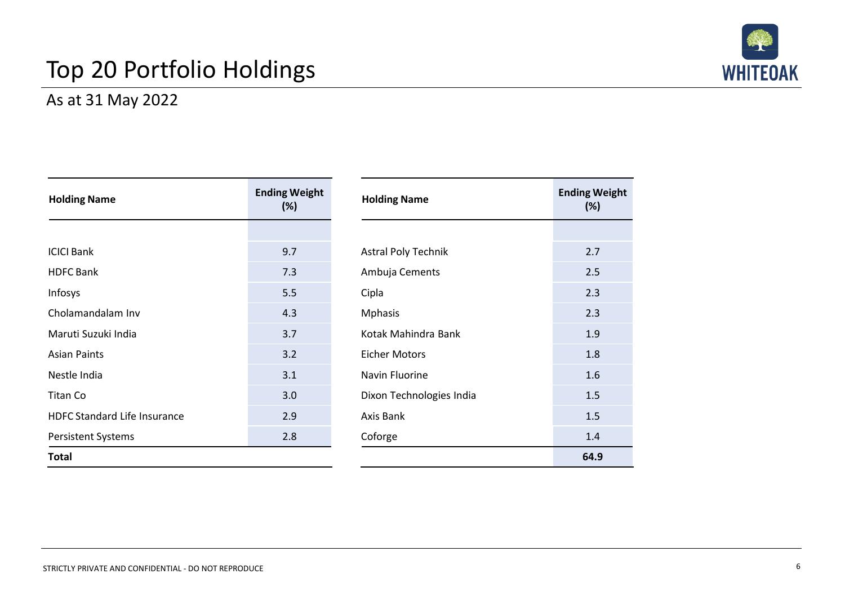# Top 20 Portfolio Holdings



### As at 31 May 2022

| <b>Holding Name</b>                 | <b>Ending Weight</b><br>(%) | <b>Holding Name</b>        | <b>Ending Weight</b><br>(%) |
|-------------------------------------|-----------------------------|----------------------------|-----------------------------|
|                                     |                             |                            |                             |
| <b>ICICI Bank</b>                   | 9.7                         | <b>Astral Poly Technik</b> | 2.7                         |
| <b>HDFC</b> Bank                    | 7.3                         | Ambuja Cements             | 2.5                         |
| Infosys                             | 5.5                         | Cipla                      | 2.3                         |
| Cholamandalam Inv                   | 4.3                         | <b>Mphasis</b>             | 2.3                         |
| Maruti Suzuki India                 | 3.7                         | Kotak Mahindra Bank        | 1.9                         |
| <b>Asian Paints</b>                 | 3.2                         | <b>Eicher Motors</b>       | 1.8                         |
| Nestle India                        | 3.1                         | Navin Fluorine             | 1.6                         |
| Titan Co                            | 3.0                         | Dixon Technologies India   | 1.5                         |
| <b>HDFC Standard Life Insurance</b> | 2.9                         | Axis Bank                  | 1.5                         |
| <b>Persistent Systems</b>           | 2.8                         | Coforge                    | 1.4                         |
| <b>Total</b>                        |                             |                            | 64.9                        |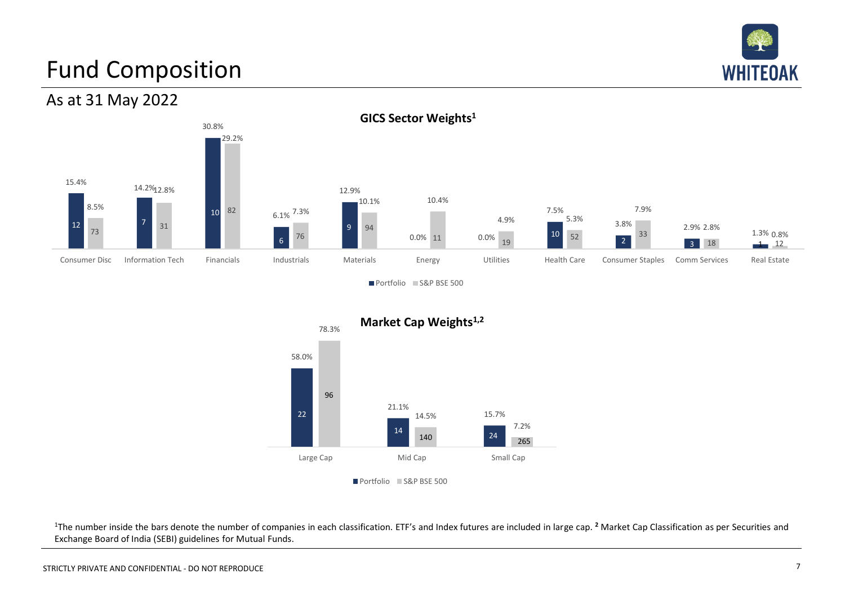

# Fund Composition





Portfolio S&P BSE 500



<sup>1</sup>The number inside the bars denote the number of companies in each classification. ETF's and Index futures are included in large cap. <sup>2</sup> Market Cap Classification as per Securities and Exchange Board of India (SEBI) guidelines for Mutual Funds.